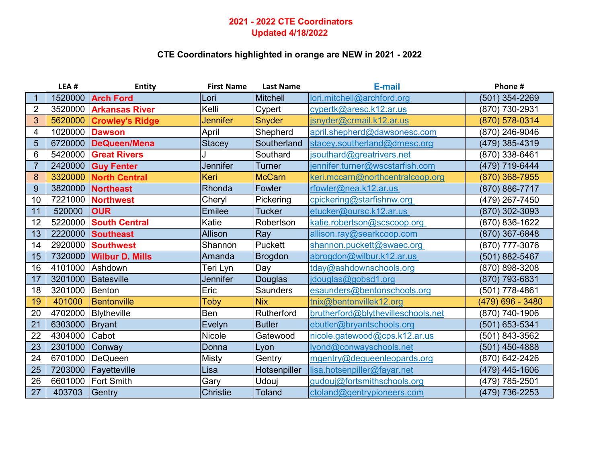## **2021 - 2022 CTE Coordinators Updated 4/18/2022**

## **CTE Coordinators highlighted in orange are NEW in 2021 - 2022**

|                | LEA#    | <b>Entity</b>          | <b>First Name</b> | <b>Last Name</b> | E-mail                             | Phone #          |
|----------------|---------|------------------------|-------------------|------------------|------------------------------------|------------------|
| 1              | 1520000 | <b>Arch Ford</b>       | Lori              | <b>Mitchell</b>  | lori.mitchell@archford.org         | (501) 354-2269   |
| $\overline{2}$ | 3520000 | <b>Arkansas River</b>  | Kelli             | Cypert           | cypertk@aresc.k12.ar.us            | (870) 730-2931   |
| 3              | 5620000 | <b>Crowley's Ridge</b> | <b>Jennifer</b>   | Snyder           | <u>isnyder@crmail.k12.ar.us</u>    | (870) 578-0314   |
| 4              | 1020000 | <b>Dawson</b>          | April             | Shepherd         | april.shepherd@dawsonesc.com       | (870) 246-9046   |
| 5              | 6720000 | DeQueen/Mena           | <b>Stacey</b>     | Southerland      | stacey.southerland@dmesc.org       | (479) 385-4319   |
| 6              | 5420000 | <b>Great Rivers</b>    |                   | Southard         | jsouthard@greatrivers.net          | (870) 338-6461   |
| $\overline{7}$ | 2420000 | <b>Guy Fenter</b>      | Jennifer          | Turner           | jennifer.turner@wscstarfish.com    | (479) 719-6444   |
| 8              | 3320000 | <b>North Central</b>   | Keri              | <b>McCarn</b>    | keri.mccarn@northcentralcoop.org   | (870) 368-7955   |
| 9              | 3820000 | <b>Northeast</b>       | Rhonda            | Fowler           | rfowler@nea.k12.ar.us              | (870) 886-7717   |
| 10             | 7221000 | <b>Northwest</b>       | Cheryl            | Pickering        | cpickering@starfishnw.org          | (479) 267-7450   |
| 11             | 520000  | <b>OUR</b>             | <b>Emilee</b>     | <b>Tucker</b>    | etucker@oursc.k12.ar.us            | (870) 302-3093   |
| 12             | 5220000 | <b>South Central</b>   | Katie             | Robertson        | katie.robertson@scscoop.org        | (870) 836-1622   |
| 13             | 2220000 | <b>Southeast</b>       | <b>Allison</b>    | <b>Ray</b>       | allison.ray@searkcoop.com          | (870) 367-6848   |
| 14             | 2920000 | Southwest              | Shannon           | Puckett          | shannon.puckett@swaec.org          | (870) 777-3076   |
| 15             | 7320000 | <b>Wilbur D. Mills</b> | Amanda            | <b>Brogdon</b>   | abrogdon@wilbur.k12.ar.us          | (501) 882-5467   |
| 16             | 4101000 | Ashdown                | Teri Lyn          | Day              | tday@ashdownschools.org            | (870) 898-3208   |
| 17             | 3201000 | Batesville             | <b>Jennifer</b>   | Douglas          | jdouglas@gobsd1.org                | (870) 793-6831   |
| 18             | 3201000 | Benton                 | Eric              | Saunders         | esaunders@bentonschools.org        | (501) 778-4861   |
| 19             | 401000  | Bentonville            | Toby              | <b>Nix</b>       | tnix@bentonvillek12.org            | (479) 696 - 3480 |
| 20             | 4702000 | Blytheville            | Ben               | Rutherford       | brutherford@blythevilleschools.net | (870) 740-1906   |
| 21             | 6303000 | <b>Bryant</b>          | Evelyn            | <b>Butler</b>    | ebutler@bryantschools.org          | (501) 653-5341   |
| 22             | 4304000 | Cabot                  | Nicole            | Gatewood         | nicole.gatewood@cps.k12.ar.us      | (501) 843-3562   |
| 23             | 2301000 | Conway                 | Donna             | Lyon             | lyond@conwayschools.net            | (501) 450-4888   |
| 24             | 6701000 | DeQueen                | <b>Misty</b>      | Gentry           | mgentry@dequeenleopards.org        | (870) 642-2426   |
| 25             | 7203000 | Fayetteville           | Lisa              | Hotsenpiller     | lisa.hotsenpiller@fayar.net        | (479) 445-1606   |
| 26             | 6601000 | <b>Fort Smith</b>      | Gary              | Udouj            | gudouj@fortsmithschools.org        | (479) 785-2501   |
| 27             | 403703  | Gentry                 | <b>Christie</b>   | <b>Toland</b>    | ctoland@gentrypioneers.com         | (479) 736-2253   |